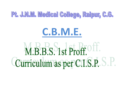## Pt. J.N.M. Medical College, Raipur, C.G.

## C.B.M.E.

M.B.B.S. 1st Proff. Off. Curriculum as per C.I.S.P.S.P.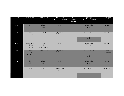| <b>WEEK1</b> | 9am-10am                          | $10am-11am$                 | $11am-1pm$<br>SDL / SGD / Practical | $1-2$<br>(lunch<br>break) | $2pm-4pm$<br>SDL / SGD / Practical | 4pm-5pm                |
|--------------|-----------------------------------|-----------------------------|-------------------------------------|---------------------------|------------------------------------|------------------------|
| <b>MON</b>   | AN1.1                             | Physio<br>PY1.2.1           | AN1.1                               |                           | physio/bio<br><b>BI11.1</b>        | $\text{ece}(\text{P})$ |
| <b>TUE</b>   | Physio<br>PY1.2.2                 | AN1.1                       | physio/bio<br><b>BI</b> 11.1        |                           | <b>SGD</b> (AN76.1)<br>AN1.1       | $\csc(A)$              |
| <b>WED</b>   | AN1.2 AN2.1<br>AN2.2<br>AN2.3     | bio<br>b1.1<br>$(HI-PY1.1)$ | AN1.1                               |                           | physio/bio<br><b>BI</b> 11.1       | $\text{ece}(\text{B})$ |
| <b>THU</b>   | Physio<br>PY1.1.1<br>$(HI-BI1.1)$ | AN2.4 AN18.7                | physio/bio<br><b>BI</b> 11.1        |                           | <b>SGD</b> (AN76.2)<br>AN2.1       | extra<br>curricular    |
| <b>FRI</b>   | bio<br><b>BI2.1</b>               | Physio<br>PY1.5.1           | AN2.1                               |                           | physio/bio<br><b>BI11.1</b>        | Aetcom                 |
| <b>SAT</b>   | psm                               | AN2.5                       | physio/bio<br><b>BI</b> 11.1        |                           | <b>SGD</b> (AN77.1)<br>AN2.1       | assessment             |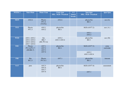| WEEK 2     | 9am-10am                                                 | $10am-11am$                         | $11am-1pm$<br><b>SDL / SGD / Practical</b> | $1-2$<br>$\overline{$ (lunch<br>break) | $2pm-4pm$<br><b>SDL / SGD / Practical</b> | 4pm-5pm                |
|------------|----------------------------------------------------------|-------------------------------------|--------------------------------------------|----------------------------------------|-------------------------------------------|------------------------|
| <b>MON</b> | AN2.6                                                    | Physio<br><b>PY1.4</b><br>$(VI-PA)$ | AN2.6                                      |                                        | physio/bio<br><b>BI3.1</b>                | $\csc(A)$              |
| <b>TUE</b> | Physio<br>PY1.3                                          | AN3.1<br>AN3.2                      | physio/bio<br><b>BI3.1</b>                 |                                        | SGD (AN77.2)<br>AN3.1                     | $\csc(A)$              |
|            |                                                          |                                     |                                            |                                        | AN3.2                                     |                        |
| <b>WED</b> | AN5.1 AN5.2<br>AN5.3 AN5.4<br>AN5.5 AN5.6<br>AN5.7 AN5.8 | bio<br><b>BI6.7</b><br>$(HI-PY1.6)$ | AN5.2<br>AN5.3 AN5.4                       |                                        | physio/bio<br><b>BI3.1</b>                | $\text{ece}(\text{B})$ |
| <b>THU</b> | Physio<br>PY1.6, PY1.7<br>$(HI-BI6.7)$                   | AN7.1<br>AN7.2<br>AN7.3             | physio/bio<br><b>BI3.1</b>                 |                                        | <b>SGD</b> (AN77.3)                       | extra<br>curricular    |
|            |                                                          | AN7.4                               |                                            |                                        | AN5.2<br>AN5.3 AN5.4                      |                        |
| <b>FRI</b> | <b>Bio</b><br><b>BI2.3</b>                               | Physio<br>PY1.8.1                   | AN7.1                                      |                                        | physio/bio<br><b>BI3.1</b>                | Aetcom                 |
| <b>SAT</b> | psm                                                      | AN7.5<br>AN7.6<br>AN7.7             | physio/bio<br><b>BI3.1</b>                 |                                        | SGD (AN77.4)                              | assessment             |
|            |                                                          | AN7.8                               |                                            |                                        | AN7.1                                     |                        |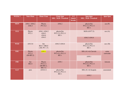| WEEK <sub>3</sub> | 9am-10am                               | $10am-11am$                                | $11am-1pm$<br><b>SDL / SGD / Practical</b>    | $1-2$<br>(lunch<br>break) | $2pm-4pm$<br><b>SDL / SGD / Practical</b>     | 4pm-5pm                |
|-------------------|----------------------------------------|--------------------------------------------|-----------------------------------------------|---------------------------|-----------------------------------------------|------------------------|
| <b>MON</b>        | AN6.1 AN6.2<br>AN6.3                   | Physio<br>PY1.8.2                          | AN6.2                                         |                           | physio/bio<br>PY2.3.2, PY2.11<br><b>BI3.1</b> | $\csc(P)$              |
| <b>TUE</b>        | Physio<br><b>PY2.1</b>                 | AN4.1 AN4.2<br>AN4.3<br>AN4.4<br>AN4.5     | physio/bio<br>PY2.3.2, PY2.11<br><b>BI3.1</b> |                           | SGD (AN77.5)<br>AN4.3 AN4.4                   | $\csc(A)$              |
|                   |                                        |                                            |                                               |                           |                                               |                        |
| <b>WED</b>        | AN13.8                                 | bio<br>BI 6.7. BI6.8<br>$(HI-PY1.7)$       | AN4.3 AN4.4                                   |                           | physio/bio<br>PY2.3.2, PY2.11<br><b>BI3.1</b> | $\text{ece}(\text{B})$ |
| <b>THU</b>        | Physio<br><b>PY2.2</b><br>$(HI-BI5.2)$ | <b>AN9.1</b>                               | physio/bio<br>PY2.4.2, PY2.11<br><b>BI3.1</b> |                           | SDL (8.1-6) Clavicle                          | extra<br>curricular    |
|                   |                                        |                                            |                                               |                           | AN9.1                                         |                        |
| <b>FRI</b>        | bio<br><b>BI2.4</b>                    | Physio<br>PY2.3.1<br>(HI-BI5.2,<br>B[6.11] | AN9.1                                         |                           | physio/bio<br>PY2.4.2, PY2.11<br><b>BI3.1</b> | Aetcom                 |
| <b>SAT</b>        | psm                                    | AN10.11                                    | physio/bio<br>PY2.4.2, PY2.11<br><b>BI3.1</b> |                           | SDL (8.1-6) Scapula                           | assessment             |
|                   |                                        |                                            |                                               |                           | AN9.2                                         |                        |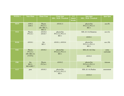| WEEK4      | 9am-10am                             | $10am-11am$                                           | $11am-1pm$<br><b>SDL / SGD / Practical</b>    | $1-2$<br>(lunch<br>break) | $2pm-4pm$<br>SDL / SGD / Practical            | 4pm-5pm                |
|------------|--------------------------------------|-------------------------------------------------------|-----------------------------------------------|---------------------------|-----------------------------------------------|------------------------|
| <b>MON</b> | AN9.2<br>AN9.3                       | Physio<br>PY2.5.1<br>$(HI - BI6.11,$<br><b>BI6.12</b> | AN10.11                                       |                           | physio/bio<br>PY2.5.3, PY2.11<br><b>BI3.1</b> | $\csc(P)$              |
| <b>TUE</b> | Physio<br>PY2.4.1                    | AN10.4<br>AN10.7                                      | physio/bio<br>PY2.5.3, PY2.11<br><b>BI3.1</b> |                           | SDL $(8.1-6)$ Humerus                         | $\csc(A)$              |
|            |                                      |                                                       |                                               | AN10.1                    |                                               |                        |
| <b>WED</b> | AN10.1                               | bio<br><b>BI3.1</b>                                   | AN10.1, AN10.4                                |                           | physio/bio<br>PY2.5.3, PY2.11<br><b>BI3.1</b> | $\text{ece}(\text{B})$ |
| <b>THU</b> | Physio<br>PY2.5.2<br>$(HI - BI6.12)$ | AN10.2                                                | physio/bio<br>PY2.6.2, PY2.11<br><b>BI3.1</b> |                           | SDL (8.1-6) Ulna                              | extra<br>curricular    |
|            | $(VI-PA)$                            |                                                       |                                               |                           | AN10.2                                        |                        |
| <b>FRI</b> | bio<br>BI2.5,<br>BI2.6, BI2.7        | Physio<br>PY2.6.1                                     | AN10.2                                        |                           | physio/bio<br>PY2.6.2, PY2.11<br><b>BI3.1</b> | Aetcom                 |
| <b>SAT</b> | psm                                  | AN10.3                                                | physio/bio<br>PY2.6.2, PY2.11<br><b>BI3.1</b> |                           | SDL $(8.1-6)$ Radius                          | assessment             |
|            |                                      |                                                       |                                               |                           | AN10.3                                        |                        |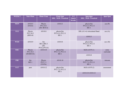| WEEK <sub>5</sub> | 9am-10am                            | $10am-11am$                                    | $11am-1pm$<br><b>SDL / SGD / Practical</b>    | $1-2$<br>(lunch<br>break) | $2pm-4pm$<br>SDL / SGD / Practical            | 4pm-5pm                |
|-------------------|-------------------------------------|------------------------------------------------|-----------------------------------------------|---------------------------|-----------------------------------------------|------------------------|
| <b>MON</b>        | AN10.5<br>AN10.6                    | Physio<br>PY2.10.1<br>$(HI - BI10.4)$          | AN10.3                                        |                           | physio/bio<br>PY2.6.3, PY2.11<br><b>BI3.1</b> | $\csc(P)$              |
| <b>TUE</b>        | Physio<br>PY2.10.2<br>(BI10.4)      | AN10.8                                         | physio/bio<br>PY2.6.3, PY2.11<br><b>BI3.1</b> |                           | SDL (8.1-6) Articulated Hand<br>AN10.3        | $\csc(A)$              |
| <b>WED</b>        | AN10.9                              | bio<br>BI3.2, BI3.3<br>$(HI-$<br>PY4.2, PY4.4) | AN10.8                                        |                           | physio/bio<br>PY2.6.3, PY2.11<br><b>BI3.1</b> | $\text{ece}(\text{B})$ |
| <b>THU</b>        | Physio<br>PY2.10.3<br>$(HI-BI10.4)$ | AN10.10                                        | physio/bio<br>PY2.7.2, PY2.11<br><b>BI3.1</b> |                           | <b>SGD</b> (AN78.1)<br>AN10.8                 | extra<br>curricular    |
| <b>FRI</b>        | bio<br><b>BI5.1</b>                 | Physio<br>PY2.7.1<br>$(VI-PA)$                 | AN10.10                                       |                           | physio/bio<br>PY2.7.2, PY2.11<br><b>BI3.1</b> | Aetcom                 |
| <b>SAT</b>        | psm                                 | AN10.12                                        | physio/bio<br>PY2.7.2, PY2.11<br><b>BI3.1</b> |                           | <b>SGD</b> (AN78.2)                           | assessment             |
|                   |                                     |                                                |                                               |                           | AN10.10 AN10.12                               |                        |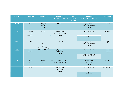| WEEK 6     | 9am-10am            | $10am-11am$                                     | $11am-1pm$<br><b>SDL / SGD / Practical</b>    | $1-2$<br>(lunch<br>break) | $2pm-4pm$<br><b>SDL</b> / <b>SGD</b> / <b>Practical</b> | 4pm-5pm             |
|------------|---------------------|-------------------------------------------------|-----------------------------------------------|---------------------------|---------------------------------------------------------|---------------------|
| <b>MON</b> | AN10.13             | Physio<br>PY2.8.1<br>$(VI-PA)$                  | AN10.11                                       |                           | physio/bio<br>PY2.8.3, PY2.11<br><b>BI5.1</b>           | $\csc(P)$           |
| TUE        | Physio<br>PY2.8.2   | AN11.1<br>$(VI-PA)$                             | physio/bio<br>PY2.8.3, PY2.11<br><b>BI5.1</b> |                           | SGD (AN78.3)                                            | $\csc(A)$           |
|            |                     |                                                 |                                               |                           | AN11.1                                                  |                     |
| <b>WED</b> | AN11.2              | bio<br><b>BI3.4</b><br>$(HI-$<br>PY3.11, PY4.7) | AN11.2                                        |                           | physio/bio<br>PY2.8.3, PY2.11<br><b>BI5.1</b>           | $\csc(B)$           |
| <b>THU</b> | Physio<br>PY2.9.1   | AN11.5 AN11.3                                   | physio/bio<br>PY2.9.3<br><b>BI5.1</b>         |                           | <b>SGD</b> (AN78.4)                                     | extra<br>curricular |
|            |                     |                                                 |                                               |                           | AN11.3 AN11.5                                           |                     |
| <b>FRI</b> | bio<br><b>BI5.1</b> | Physio<br>PY2.9.2                               | AN11.2 AN11.3 AN11.5<br>AN11.3 AN11.4         |                           | physio/bio<br>PY2.9.3<br><b>BI5.1</b>                   | Aetcom              |
| <b>SAT</b> | psm                 | AN12.1                                          | physio/bio<br>PY2.9.3<br><b>BI5.1</b>         |                           | SGD (AN78.5)                                            | assessment          |
|            |                     |                                                 |                                               |                           | AN12.1                                                  |                     |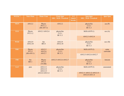| WEEK <sub>7</sub> | 9am-10am                               | $10am-11am$                                    | $11am-1pm$<br><b>SDL</b> / <b>SGD</b> / <b>Practical</b> | $1-2$<br>(lunch<br>break) | $2pm-4pm$<br><b>SDL / SGD / Practical</b>                       | 4pm-5pm                |
|-------------------|----------------------------------------|------------------------------------------------|----------------------------------------------------------|---------------------------|-----------------------------------------------------------------|------------------------|
| <b>MON</b>        | AN12.2                                 | Physio<br>PY3.1.1<br>$(HI-AN7.3)$              | AN12.2                                                   |                           | physio/bio<br>2.12.1<br><b>BI</b> 11.3                          | $\csc(P)$              |
| <b>TUE</b>        | Physio<br>PY3.1.2                      | AN12.3 AN12.4                                  | physio/bio<br>2.12.1<br><b>BI</b> 11.3                   |                           | <b>SGD</b> (AN79.1)<br>AN12.3 AN12.4                            | $\csc(A)$              |
| <b>WED</b>        | AN12.9<br>AN12.10                      | bio<br><b>BI3.4</b>                            | AN12.9<br>AN12.10                                        |                           | physio/bio<br>2.12.1<br><b>BI</b> 11.3                          | $\text{ece}(\text{B})$ |
| <b>THU</b>        | Physio<br><b>PY3.2</b><br>$(HI-AN3.1)$ | AN12.5<br>AN12.6<br>AN12.7                     | physio/bio<br>2.12.2<br><b>BI</b> 11.3                   |                           | <b>SGD</b> (AN79.2)<br>AN12.5 AN12.6 AN12.7                     | extra<br>curricular    |
| <b>FRI</b>        | bio<br><b>BI5.1</b>                    | Physio<br><b>PY3.3</b><br>$(VI-IM)$            | AN12.5 AN12.6 AN12.7                                     |                           | physio/bio<br>2.12.2<br><b>BI</b> 11.3                          | Aetcom                 |
| <b>SAT</b>        | psm                                    | AN12.11<br>AN12.12<br>AN12.13<br>AN12.8 AN11.4 | physio/bio<br>2.12.2<br><b>BI</b> 11.3                   |                           | <b>SGD</b> (AN79.3)<br>AN12.11 AN12.12 AN12.13<br>AN12.8 AN11.4 | assessment             |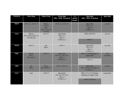| WEEK 8     | 9am-10am                                        | 10am-11am                                                      | $11am-1pm$<br>SDL / SGD / Practical                           | $1-2$<br>(lunch<br>break) | $2pm-4pm$<br><b>SDL / SGD / Practical</b>                         | 4pm-5pm                |
|------------|-------------------------------------------------|----------------------------------------------------------------|---------------------------------------------------------------|---------------------------|-------------------------------------------------------------------|------------------------|
| <b>MON</b> | AN12.12 AN12.15                                 | Physio<br><b>PY3.4</b><br>$(HI-$<br>AN7.7, AN7.5)<br>$(VI-AS)$ | AN12.12 AN12.15                                               |                           | physio/bio<br>PY2.13.1<br><b>BI11.4</b><br>VI-PE21.11             | $\csc(P)$              |
| TUE        | Physio<br>PY3.5, PY3.6, PY3.13<br>$(VI-PH, AS)$ | AN13.1                                                         | physio/bio<br>PY2.13.1<br><b>BI11.4</b><br>VI-PE21.11         |                           | <b>SGD</b> (AN79.4)<br>AN13.1                                     | ece(A)                 |
| <b>WED</b> | AN13.2                                          | bio<br><b>BI3.4</b>                                            | AN13.1                                                        |                           | physio/bio<br>PY2.13.1<br><b>BI11.4</b><br>VI-PE21.11             | $\text{ece}(\text{B})$ |
| THU        | Physio<br><b>PY3.7</b><br>$(HI-AN3.1)$          | AN13.3                                                         | physio/bio<br>PY3.10, PY3.18.1<br><b>BI11.4</b><br>VI-PE21.11 |                           | SDL (13.5) Radiology of<br>upper limb<br>AN13.3                   | extra<br>curricular    |
| <b>FRI</b> | bio<br><b>BI5.1</b>                             | Physio<br>PY3.8, PY3.17                                        | AN13.3 AN13.4                                                 |                           | physio/bio<br>PY3.10, PY3.18.1 BI11.4<br>VI-PE21.11               | Aetcom                 |
| <b>SAT</b> | psm                                             | AN13.3                                                         | physio/bio<br>PY3.10, PY3.18.1<br><b>BI11.4</b><br>VI-PE21.11 |                           | SDL (13.6 13.7) Surface<br>Marking of Upper Limb<br>AN13.5 AN13.6 | assessment             |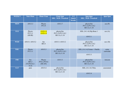| WEEK 9     | 9am-10am                                    | $10am-11am$                         | $11am-1pm$<br><b>SDL / SGD / Practical</b>     | $1-2$<br>(lunch<br>break) | $2pm-4pm$<br><b>SDL / SGD / Practical</b>      | 4pm-5pm                |
|------------|---------------------------------------------|-------------------------------------|------------------------------------------------|---------------------------|------------------------------------------------|------------------------|
| <b>MON</b> | AN13.3                                      | Physio<br>PY3.9                     | AN13.7                                         |                           | physio/bio<br>PY3.12, PY3.18.2<br>BI11.6,11.18 | $\csc(P)$              |
| <b>TUE</b> | Physio<br>PY3.11<br>$(HI-BI)$               | <b>AN20.10</b><br><b>AN20.10</b>    | physio/bio<br>PY3.12, PY3.18.2<br>BI11.6,11.18 |                           | SDL (14.1-4) Hip Bone 1<br>AN15.1              | $\csc(A)$              |
|            |                                             |                                     |                                                |                           |                                                |                        |
| <b>WED</b> | AN15.1 AN15.2                               | bio<br><b>BI3.4</b>                 | AN15.1 AN15.2                                  |                           | physio/bio<br>PY3.12, PY3.18.2<br>BI11.6,11.18 | $\text{ece}(\text{B})$ |
| <b>THU</b> | Physio<br>PY3.11                            | AN15.3                              | physio/bio<br>PY3.14, PY3.18.3<br>BI11.6,11.18 |                           | SDL (14.1-4) Femur + Patella                   | extra<br>curricular    |
|            |                                             |                                     |                                                |                           | AN15.3                                         |                        |
| <b>FRI</b> | bio<br><b>BI5.2</b><br>(VI-PA16.2-<br>16.4) | Physio<br>PY4.1, PY4.6<br>$(HI-AN)$ | AN15.3                                         |                           | physio/bio<br>PY3.14, PY3.18.3<br>BI11.6,11.18 | Aetcom                 |
| <b>SAT</b> | psm                                         | AN15.4                              | physio/bio<br>PY3.14, PY3.18.3<br>BI11.6,11.18 |                           | SDL (14.1-4) Tibia                             | assessment             |
|            |                                             |                                     |                                                |                           | AN15.4                                         |                        |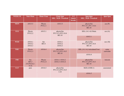| <b>WEEK 10</b> | 9am-10am                                    | $10am-11am$         | $11am-1pm$<br><b>SDL / SGD / Practical</b>        | $1-2$<br>(lunch<br>break) | $2pm-4pm$<br><b>SDL / SGD / Practical</b>          | 4pm-5pm                |
|----------------|---------------------------------------------|---------------------|---------------------------------------------------|---------------------------|----------------------------------------------------|------------------------|
| <b>MON</b>     | AN15.5                                      | Physio<br>PY4.2.1   | AN15.5                                            |                           | physio/bio<br>PY3.15.1, PY.3.18.4<br><b>BI3.10</b> | $\csc(P)$              |
| <b>TUE</b>     | Physio<br>PY4.2.2                           | AN15.1              | physio/bio<br>PY3.15.1, PY3.18.4<br><b>BI3.10</b> |                           | SDL (14.1-4) Fibula<br>AN15.1                      | $\csc(A)$              |
| <b>WED</b>     | AN16.1<br>AN16.2<br>AN16.3                  | bio<br><b>BI3.4</b> | AN16.1<br>AN16.2<br>AN16.3                        |                           | physio/bio<br>PY3.15.1, PY3.18.4<br><b>BI3.10</b>  | $\text{ece}(\text{B})$ |
| <b>THU</b>     | Physio<br>PY4.2.3                           | AN16.4              | physio/bio<br>PY3.15.2, PY3.18.5<br><b>BI3.10</b> |                           | SDL (14.1-4) Articulated Foot                      | extra<br>curricular    |
|                |                                             |                     |                                                   |                           | AN16.4                                             |                        |
| <b>FRI</b>     | bio<br><b>BI5.2</b><br>(VI-PA16.2-<br>16.4) | Physio<br>PY4.2.4   | AN16.1 AN16.2<br>AN16.3 AN16.4                    |                           | physio/bio<br>PY3.15.2, PY3.18.5<br><b>BI3.10</b>  | Aetcom                 |
| <b>SAT</b>     | psm                                         | AN16.5              | physio/bio<br>PY3.15.2, PY3.18.5<br>3.10          |                           | <b>SGD</b> (AN80.1)                                | assessment             |
|                |                                             |                     |                                                   |                           | AN16.5                                             |                        |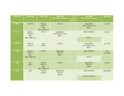| <b>WEEK 11</b> | 9am-10am                     | $10am-11am$                                    | $11am-1pm$<br><b>SDL / SGD / Practical</b>     | $1-2$<br>(lunch<br>break) | $2pm-4pm$<br><b>SDL</b> / SGD / Practical      | 4pm-5pm                |
|----------------|------------------------------|------------------------------------------------|------------------------------------------------|---------------------------|------------------------------------------------|------------------------|
| <b>MON</b>     | AN16.6                       | Physio<br>PY4.2.5<br>$(HI-$<br>BI6.13, BI6.14) | AN16.6                                         |                           | physio/bio<br>PY3.16, PY3.18.6<br><b>BI5.5</b> | $\csc(P)$              |
| <b>TUE</b>     | Physio<br>PY4.2.6<br>$(HI-)$ | AN17.1                                         | physio/bio<br>PY3.16, PY3.18.6<br><b>BI5.5</b> |                           | <b>SGD</b> (AN80.2)                            | $\csc(A)$              |
|                | BI6.13, BI6.14)              |                                                |                                                |                           | AN17.1                                         |                        |
| <b>WED</b>     | AN17.2<br>AN17.3             | bio<br><b>BI3.4</b>                            | AN17.1                                         |                           | physio/bio<br>PY3.16, PY3.18.6<br><b>BI5.5</b> | $\text{ece}(\text{B})$ |
| <b>THU</b>     | Physio<br>PY4.7.1<br>$(HI-)$ | AN18.1                                         | physio/bio<br>PY4.10<br><b>BI5.5</b>           |                           | <b>SGD</b> (AN80.3)                            | extra<br>curricular    |
|                | BI6.13, BI6.14)              |                                                |                                                |                           | AN18.1                                         |                        |
| <b>FRI</b>     | bio<br><b>BI5.3</b>          | Physio<br>PY4.7.2<br>$(HI-$<br>BI6.13, BI6.14) | AN18.1                                         |                           | physio/bio<br>PY4.10<br><b>BI5.5</b>           | Aetcom                 |
| <b>SAT</b>     | psm                          | AN18.2<br>AN18.3                               | physio/bio<br>PY4.10<br><b>BI5.5</b>           |                           | <b>SGD</b> (AN80.4)                            | assessment             |
|                |                              |                                                |                                                |                           | AN18.2, AN18.3                                 |                        |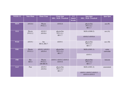| <b>WEEK 12</b> | 9am-10am            | $10am-11am$                       | $11am-1pm$<br><b>SDL / SGD / Practical</b> | $1-2$<br>(lunch<br>break) | $2pm-4pm$<br>SDL / SGD / Practical      | 4pm-5pm                |
|----------------|---------------------|-----------------------------------|--------------------------------------------|---------------------------|-----------------------------------------|------------------------|
| <b>MON</b>     | AN18.4              | Physio<br>PY4.3.1                 | AN18.4                                     |                           | physio/bio<br>PY5.12.1<br><b>BI11.7</b> | $\csc(P)$              |
| <b>TUE</b>     | Physio<br>PY4.3.2   | AN18.5<br>AN18.6                  | physio/bio<br>PY5.12.1<br><b>BI11.7</b>    |                           | <b>SGD</b> (AN80.5)<br>AN18.5 AN18.6    | $\csc(A)$              |
|                |                     |                                   |                                            |                           |                                         |                        |
| <b>WED</b>     | AN19.1              | bio<br>BI3.6, BI3.7               | AN19.1                                     |                           | physio/bio<br>PY5.12.1<br><b>BI11.7</b> | $\text{ece}(\text{B})$ |
| <b>THU</b>     | Physio<br>PY4.3.3   | AN19.2 AN19.3<br>AN19.4           | physio/bio<br>PY5.12.2<br><b>BI11.7</b>    |                           | <b>SGD</b> (AN81.1)                     | extra<br>curricular    |
|                |                     |                                   |                                            |                           | AN19.1                                  |                        |
| <b>FRI</b>     | Bio<br><b>BI5.4</b> | Physio<br>PY4.4.1<br>$(HI-BI6.9)$ | AN19.1 AN19.2 AN19.3<br>AN19.4             |                           | physio/bio<br>PY5.12.2<br><b>BI11.7</b> | Aetcom                 |
| <b>SAT</b>     | Psm                 | AN19.5<br>AN19.6                  | physio/bio<br>PY5.12.2<br><b>BI11.7</b>    |                           | SGD (AN81.2)                            | assessment             |
|                |                     |                                   |                                            |                           | AN19.1 AN19.2 AN19.3<br>AN19.4 AN19.5   |                        |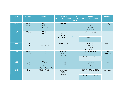| <b>WEEK 13</b> | 9am-10am                            | 10am-11am                                                   | $11am-1pm$<br><b>SDL / SGD / Practical</b>            | $1-2$<br>(lunch<br>break) | $2pm-4pm$<br><b>SDL / SGD / Practical</b>             | 4pm-5pm             |
|----------------|-------------------------------------|-------------------------------------------------------------|-------------------------------------------------------|---------------------------|-------------------------------------------------------|---------------------|
| <b>MON</b>     | AN19.1<br>AN19.2                    | Physio<br>PY4.4.2<br>$(HI-BI6.9)$                           | AN19.1 AN19.2                                         |                           | physio/bio<br>PY5.13<br>$(VI-IM)$<br>BI 11.8, BI11.22 | $\csc(P)$           |
| <b>TUE</b>     | Physio<br>PY4.5                     | AN19.1<br>AN19.2                                            | physio/bio<br>PY5.13<br>$(VI-IM)$<br>BI 11.8, BI11.22 |                           | SGD (AN81.3)<br>AN19.1 AN19.2                         | $\csc(A)$           |
| <b>WED</b>     | AN19.1<br>AN19.2                    | Bio<br>BI3.6, BI3.7                                         | AN19.1 AN19.2                                         |                           | physio/bio<br>PY5.13<br>$(VI-IM)$<br>BI 11.8, BI11.22 | $\csc(B)$           |
| <b>THU</b>     | Physio<br><b>PY4.9</b><br>$(VI-IM)$ | AN20.3<br>AN20.5                                            | physio/bio<br>PY5.14<br><b>BI</b> 11.8                |                           | SGD (AN73.1)<br>AN20.5<br>AN20.3                      | extra<br>curricular |
| <b>FRI</b>     | <b>Bio</b><br><b>BI5.4</b>          | Physio<br><b>PY5.1</b><br>$(HI-$<br>AN22.2, AN22.3, AN22.7) | AN20.3<br>AN20.5                                      |                           | physio/bio<br>PY5.14<br><b>BI</b> 11.8                | Aetcom              |
| <b>SAT</b>     | Psm                                 | AN20.3 AN20.4                                               | physio/bio<br>PY5.14<br><b>BI</b> 11.8                |                           | SGD (AN73.2 AN73.3)<br>AN20.3<br>AN20.4               | assessment          |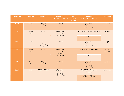| <b>WEEK 14</b> | 9am-10am            | $10am-11am$                   | $11am-1pm$<br><b>SDL / SGD / Practical</b>           | $1-2$<br>(lunch<br>break) | $2pm-4pm$<br><b>SDL / SGD / Practical</b>            | 4pm-5pm                |
|----------------|---------------------|-------------------------------|------------------------------------------------------|---------------------------|------------------------------------------------------|------------------------|
| <b>MON</b>     | AN20.3              | Physio<br><b>PY5.2</b>        | AN20.3                                               |                           | physio/bio<br>PY5.15<br>BI 11.9,4.5,4.7              | $\csc(P)$              |
| <b>TUE</b>     | Physio<br>PY5.3.1   | AN20.1                        | physio/bio<br>PY5.15<br>BI 11.9,4.5,4.7              |                           | SGD (AN74.1 AN74.2 AN74.3)<br>AN20.1                 | $\csc(A)$              |
| <b>WED</b>     | AN20.1              | bio<br>BI3.5,<br>BI3.8, BI3.9 | AN20.1                                               |                           | physio/bio<br>PY5.15<br>BI 11.9,4.5,4.7              | $\text{ece}(\text{B})$ |
| <b>THU</b>     | Physio<br>PY5.3.2   | AN20.1                        | physio/bio<br>PY5.16<br>$(VI-IM)$<br>BI 11.9,4.5,4.7 |                           | SDL (AN20.6) Radiology<br>AN20.1                     | extra<br>curricular    |
| <b>FRI</b>     | bio<br><b>BI5.4</b> | Physio<br><b>PY5.4</b>        | AN20.1                                               |                           | physio/bio<br>PY5.16<br>$(VI-IM)$<br>BI 11.9,4.5,4.7 | Aetcom                 |
| <b>SAT</b>     | psm                 | AN20.1 AN20.2                 | physio/bio<br>PY5.16<br>$(VI-IM)$<br>BI 11.9,4.5,4.7 |                           | SDL (AN20.7,8,9) Surface<br>Marking<br>AN20.1 AN20.2 | assessment             |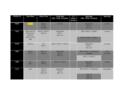| <b>WEEK 15</b> | 9am-10am                                                        | $10am-11am$                         | $11am-1pm$<br>SDL / SGD / Practical          | $1-2$<br>(lunch<br>break) | $2pm-4pm$<br>SDL / SGD / Practical                     | 4pm-5pm                |
|----------------|-----------------------------------------------------------------|-------------------------------------|----------------------------------------------|---------------------------|--------------------------------------------------------|------------------------|
| <b>MON</b>     | <b>AN21.4</b>                                                   | Physio<br><b>PY5.5</b><br>$(VI-IM)$ | AN21.4                                       |                           | physio/bio<br><b>PY6.7</b><br><b>BI</b> 11.10          | $\text{ece}(\text{P})$ |
| <b>TUE</b>     | Physio PY5.6<br>$(HI-AN22.3,$<br>AN22.4,<br>AN22.7) (VI-<br>IM) | AN21.5 AN21.7<br>AN23.3             | physio/bio<br>PY6.7<br><b>BI</b> 11.10       |                           | SDL (AN21.1-3) Ribs<br>AN21.5 AN21.7 AN23.3            | $\csc(A)$              |
| <b>WED</b>     | AN21.6                                                          | bio<br><b>BI</b> 4.1                | AN21.5 AN21.7 AN23.3                         |                           | physio/bio<br>PY6.7<br><b>BI</b> 11.10                 | ece(B)                 |
| <b>THU</b>     | Physio<br><b>PY5.7</b>                                          | AN21.11<br>AN23.5                   | physio/bio<br><b>PY6.8</b><br><b>BI11.12</b> |                           | SDL (AN21.1-3) Thoracic<br>Vertebrae<br>AN21.11 AN23.5 | extra<br>curricular    |
| <b>FRI</b>     | bio<br><b>BI5.4</b>                                             | Physio<br><b>PY5.8</b>              | AN21.11 AN23.5                               |                           | physio/bio<br><b>PY6.8</b><br><b>BI11.12</b>           | Aetcom                 |
| <b>SAT</b>     | psm                                                             | AN21.8<br>AN21.9<br>AN21.10         | physio/bio<br><b>PY6.8</b><br><b>BI11.12</b> |                           | SDL (AN21.1-3) Sternum<br>AN21.8<br>AN21.9<br>AN21.10  | assessment             |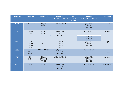| <b>WEEK 16</b> | 9am-10am                             | $10am-11am$                     | $11am-1pm$<br><b>SDL / SGD / Practical</b> | $1-2$<br>(lunch<br>break) | $2pm-4pm$<br><b>SDL / SGD / Practical</b> | 4pm-5pm                |
|----------------|--------------------------------------|---------------------------------|--------------------------------------------|---------------------------|-------------------------------------------|------------------------|
| <b>MON</b>     | AN24.1 AN25.2                        | Physio<br>PY5.9.1               | AN24.1 AN25.2                              |                           | physio/bio<br>PY6.9<br><b>BI11.12</b>     | $\csc(P)$              |
| <b>TUE</b>     | Physio<br>PY5.9.2                    | AN24.2<br>AN24.3                | physio/bio<br>PY6.9<br><b>BI11.12</b>      |                           | SGD (AN75.1)<br>AN24.2<br>AN24.3          | $\csc(A)$              |
| <b>WED</b>     | AN24.4<br>AN24.5<br>AN24.6<br>AN25.1 | bio<br><b>BI4.1</b>             | AN24.4<br>AN24.5<br>AN24.6<br>AN25.1       |                           | physio/bio<br>PY6.9<br>BI11.12            | $\text{ece}(\text{B})$ |
| <b>THU</b>     | Physio<br>PY5.11.1<br>$(VI-IM)$      | AN22.1 AN25.2                   | physio/bio<br>PY6.10<br><b>BI11.12</b>     |                           | <b>SGD</b> (AN75.4)                       | extra<br>curricular    |
| <b>FRI</b>     | bio<br><b>BI5.4</b>                  | Physio<br>PY5.11.2<br>$(VI-IM)$ | AN22.1 AN25.2                              |                           | physio/bio<br>PY6.10<br>BI11.12           | Aetcom                 |
| <b>SAT</b>     | psm                                  | AN22.2                          | physio/bio<br>PY6.10<br><b>BI11.12</b>     |                           | SGD (AN75.5)                              | Assessment             |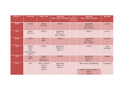| <b>WEEK17</b> | 9am-10am                                                        | $10am-11am$                        | 11am-1pm<br><b>SDL / SGD / Practical</b>  | $1-2$<br>(lunch<br>break) | $2pm-4pm$<br><b>SDL / SGD / Practical</b> | 4pm-5pm                |
|---------------|-----------------------------------------------------------------|------------------------------------|-------------------------------------------|---------------------------|-------------------------------------------|------------------------|
| <b>MON</b>    | AN22.2                                                          | Physio<br>PY5.10.1                 | AN22.2                                    |                           | physio/bio<br>PY10.11.1<br>BI11.13, BI2.2 | $\csc(P)$              |
| <b>TUE</b>    | Physio<br>PY5.10.2                                              | AN22.3                             | physio/bio<br>PY10.11.1<br>BI11.13, BI2.2 |                           | AN22.3                                    | $\csc(A)$              |
| <b>WED</b>    | AN22.5                                                          | <b>Bio</b><br><b>BI4.1</b>         | AN22.5                                    |                           | physio/bio<br>PY10.11.1<br>BI11.13, BI2.2 | $\text{ece}(\text{B})$ |
| <b>THU</b>    | Physio<br><b>PY6.1</b><br>$(HI-)$<br>AN25.9, AN24.1,<br>AN24.2) | AN22.6                             | physio/bio<br>PY10.11.2<br><b>BI11.11</b> |                           | AN22.6                                    | extra<br>curricular    |
| <b>FRI</b>    | bio<br><b>BI5.4</b>                                             | Physio<br>PY6.2.1<br>$(HI-AN24.1)$ | AN22.6                                    |                           | physio/bio<br>PY10.11.2<br><b>BI11.11</b> | Aetcom                 |
| <b>SAT</b>    | psm                                                             | AN22.7 AN22.4<br>AN25.3<br>AN25.4  | physio/bio<br>PY10.11.2<br><b>BI11.11</b> |                           | SDL (AN25.7,8) Radiology                  | Assessment             |
|               |                                                                 | AN25.5                             |                                           |                           | AN22.7 AN22.4 AN25.3<br>AN25.4<br>AN25.5  |                        |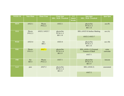| <b>WEEK 18</b> | 9am-10am            | $10am-11am$         | $11am-1pm$<br><b>SDL / SGD / Practical</b> | $1-2$<br>$(l$ unch<br>break) | $2pm-4pm$<br><b>SDL / SGD / Practical</b>                     | 4pm-5pm                |
|----------------|---------------------|---------------------|--------------------------------------------|------------------------------|---------------------------------------------------------------|------------------------|
| <b>MON</b>     | AN23.1              | Physio<br>PY6.2.2   | AN23.1                                     |                              | physio/bio<br>PY10.11.3<br><b>BI11.14</b>                     | $\csc(P)$              |
| <b>TUE</b>     | Physio<br>PY6.2.3   | AN23.2 AN23.7       | physio/bio<br>PY10.11.3<br><b>BI11.14</b>  |                              | SDL (AN25.9) Surface Marking<br>AN23.2 AN23.7                 | $\csc(A)$              |
| <b>WED</b>     | AN23.4              | bio<br><b>BI4.1</b> | AN23.4                                     |                              | physio/bio<br>PY10.11.3<br><b>BI11.14</b>                     | $\text{ece}(\text{B})$ |
| <b>THU</b>     | Physio<br>PY6.3.1   | <b>AN27.1</b>       | physio/bio<br>PY10.11.4<br><b>BI11.9</b>   |                              | SDL (AN26.1,2) External<br><b>Features of Skull</b><br>AN27.1 | extra<br>curricular    |
| <b>FRI</b>     | bio<br><b>BI5.4</b> | Physio<br>PY6.3.2   | AN27.1                                     |                              | physio/bio<br>PY10.11.4<br><b>BI11.9</b>                      | Aetcom                 |
| <b>SAT</b>     | psm                 | AN27.2              | physio/bio<br>PY10.11.4<br><b>BI11.9</b>   |                              | <b>SDL</b> (AN26.3)                                           | assessment             |
|                |                     |                     |                                            |                              | AN27.2                                                        |                        |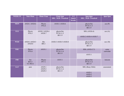| <b>WEEK 19</b> | 9am-10am                                                               | $10am-11am$             | $11am-1pm$<br><b>SDL / SGD / Practical</b> | $1-2$<br>(lunch<br>break) | 2pm-4pm<br><b>SDL / SGD / Practical</b>  | 4pm-5pm             |
|----------------|------------------------------------------------------------------------|-------------------------|--------------------------------------------|---------------------------|------------------------------------------|---------------------|
| <b>MON</b>     | AN28.1 AN28.6                                                          | Physio<br><b>PY6.4</b>  | AN28.1 AN28.6                              |                           | physio/bio<br>PY10.11.5<br><b>BI11.9</b> | $\csc(P)$           |
| <b>TUE</b>     | Physio<br>PY6.5                                                        | AN28.2 AN28.4<br>AN28.7 | physio/bio<br>PY10.11.5<br>BI11.9          |                           | <b>SDL</b> (AN26.4)                      | $\csc(A)$           |
|                |                                                                        |                         |                                            |                           | AN28.2 AN28.4 AN28.7                     |                     |
| <b>WED</b>     | AN28.3 AN28.5<br>AN28.8                                                | Bio<br><b>BI4.1</b>     | AN28.3 AN28.5 AN28.8                       |                           | physio/bio<br>PY10.11.5<br><b>BI11.9</b> | $\csc(B)$           |
| <b>THU</b>     | Physio<br><b>PY6.6</b>                                                 | AN35.1                  | physio/bio<br>PY10.11.6<br><b>BI11.9</b>   |                           | SDL (AN26.5,7)                           | extra<br>curricular |
|                |                                                                        |                         |                                            |                           | AN35.1                                   |                     |
| <b>FRI</b>     | bio<br><b>BI</b> 8.1<br><b>VI-PE9.3</b>                                | Physio<br><b>PY7.1</b>  | AN35.1                                     |                           | physio/bio<br>PY10.11.6<br><b>BI11.9</b> | Aetcom              |
| <b>SAT</b>     | AN29.1<br>physio/bio<br>psm<br>AN29.2<br>PY10.11.6<br>AN29.3<br>BI11.9 |                         |                                            |                           | SDL (Bony Orbit)                         | assessment          |
|                |                                                                        |                         | AN29.1<br>AN29.2<br>AN29.3                 |                           |                                          |                     |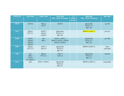| <b>WEEK 20</b> | 9am-10am                                     | $10am-11am$                | 11am-1pm<br><b>SDL / SGD / Practical</b>               | $1-2$<br>(lunch<br>break) | $2pm-4pm$<br><b>SDL / SGD / Practical</b> | 4pm-5pm                |
|----------------|----------------------------------------------|----------------------------|--------------------------------------------------------|---------------------------|-------------------------------------------|------------------------|
| <b>MON</b>     | AN29.4                                       | Physio<br><b>PY7.3</b>     | AN29.4                                                 |                           | physio/bio<br>PY10.11.7<br><b>BI11.20</b> | $\csc(P)$              |
| <b>TUE</b>     | Physio<br>PY7.2.1                            | AN42.1<br>AN42.2<br>AN42.3 | physio/bio<br>PY10.11.7<br><b>BI11.20</b>              |                           | HISTO (AN65.1)                            | $\csc(A)$              |
| <b>WED</b>     | AN30.1<br>AN30.2<br>AN30.3<br>AN30.4         | bio<br><b>BI4.1</b>        | AN42.1 AN42.2<br>AN42.3 AN30.1 AN30.2<br>AN30.3 AN30.4 |                           | physio/bio<br>PY10.11.7<br><b>BI11.20</b> | $\text{ece}(\text{B})$ |
| <b>THU</b>     | Physio<br>PY7.2.2                            | AN31.3<br>AN31.4           | physio/bio<br>PY10.12<br><b>BI11.21</b>                |                           | HISTO (AN65.1)                            | extra<br>curricular    |
| <b>FRI</b>     | bio<br><b>BI8.2</b><br>VI-PA<br>12.2, IM23.2 | Physio<br>PY7.2.3          | AN31.3<br>AN31.4                                       |                           | physio/bio<br>PY10.12<br><b>BI11.21</b>   | Aetcom                 |
| <b>SAT</b>     | psm                                          | AN31.1 AN41.1              | physio/bio<br>PY10.12<br><b>BI11.21</b>                |                           | HISTO (AN65.1)                            | assessment             |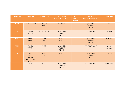| <b>WEEK 21</b> | 9am-10am                                                        | $10am-11am$         | $11am-1pm$<br><b>SDL / SGD / Practical</b> | $1-2$<br>(lunch<br>break) | $2pm-4pm$<br><b>SDL / SGD / Practical</b> | 4pm-5pm             |
|----------------|-----------------------------------------------------------------|---------------------|--------------------------------------------|---------------------------|-------------------------------------------|---------------------|
| <b>MON</b>     | AN31.2 AN31.5                                                   | Physio<br>PY7.2.4   | AN31.2 AN31.5                              |                           | physio/bio<br>PY10.16<br><b>BI11.21</b>   | $\csc(P)$           |
| <b>TUE</b>     | Physio<br><b>PY7.4</b>                                          | AN31.2 AN31.5       | physio/bio<br>PY10.16<br><b>BI11.21</b>    |                           | <b>HISTO</b> (AN66.1)                     | $\csc(A)$           |
| <b>WED</b>     | AN32.1<br>AN32.2                                                | bio<br><b>BI4.1</b> | AN32.1<br>AN32.2                           |                           | physio/bio<br>PY10.16<br><b>BI11.21</b>   | $\csc(B)$           |
| <b>THU</b>     | Physio<br>PY7.5.1                                               | AN32.2              | physio/bio<br>PY10.18<br><b>BI11.21</b>    |                           | <b>HISTO</b> (AN66.1)                     | extra<br>curricular |
| <b>FRI</b>     | bio<br><b>BI8.3</b><br>$VI$ - IM<br>23.1, 23.4, 24.22<br>SU12.3 | Physio<br>PY7.5.2   | AN32.2                                     |                           | physio/bio<br>PY10.18<br><b>BI11.21</b>   | Aetcom              |
| <b>SAT</b>     | psm                                                             | AN32.2              | physio/bio<br>PY10.18<br><b>BI11.21</b>    |                           | <b>HISTO</b> (AN66.1)                     | assessment          |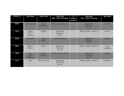| <b>WEEK 22</b> | 9am-10am                                 | $10am-11am$                | $11am-1pm$<br>SDL / SGD / Practical       | $1-2$<br>(lunch<br>break) | $2pm-4pm$<br>SDL / SGD / Practical        | $4pm-5pm$           |
|----------------|------------------------------------------|----------------------------|-------------------------------------------|---------------------------|-------------------------------------------|---------------------|
| <b>MON</b>     | Cavernous sinus                          | Physio<br>PY7.6, PY7.9     | AN32.2 Cavernous sinus                    |                           | physio/bio<br>PY10.20.1<br><b>BI2.2</b>   | $\csc(P)$           |
| TUD            | Physio<br><b>PY7.7</b><br>$(VI-IM)$      | AN28.9                     | physio/bio<br>PY10.20.1<br><b>BI2.2</b>   |                           | HISTO (AN67.1 AN67.2)                     | $\csc(A)$           |
| <b>WED</b>     | AN28.10                                  | <b>Bio</b><br><b>BI4.1</b> | AN28.9 AN28.10                            |                           | physio/bio<br>PY10.20.1<br><b>BI2.2</b>   | ece(B)              |
| <b>THU</b>     | Physio<br>PY8.6.1                        | AN33.1                     | physio/bio<br>PY10.20.2<br><b>BI</b> 11.2 |                           | HISTO (AN67.1 AN67.2)                     | extra<br>curricular |
| <b>FRI</b>     | bio<br><b>BI</b> 8.4<br><b>VI-PE11.1</b> | Physio<br>PY8.6.2          | AN33.1 AN33.2 AN33.4                      |                           | physio/bio<br>PY10.20.2<br><b>BI</b> 11.2 | Aetcom              |
| <b>SAT</b>     | psm                                      | AN33.2 AN33.4              | physio/bio<br>PY10.20.2<br><b>BI</b> 11.2 |                           | HISTO (AN67.1 AN67.2)                     | assessment          |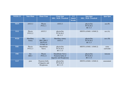| <b>WEEK 23</b> | 9am-10am            | $10am-11am$                                          | $11am-1pm$<br><b>SDL / SGD / Practical</b>                         | $1-2$<br>(lunch<br>break) | $2pm-4pm$<br><b>SDL / SGD / Practical</b> | 4pm-5pm                |
|----------------|---------------------|------------------------------------------------------|--------------------------------------------------------------------|---------------------------|-------------------------------------------|------------------------|
| <b>MON</b>     | AN33.3              | Physio<br>PY8.2.1                                    | AN33.3                                                             |                           | physio/bio<br>PY10.20.2<br><b>BI</b> 11.5 | $\csc(P)$              |
| <b>TUE</b>     | Physio<br>PY8.2.2   | AN33.5                                               | physio/bio<br>PY10.20.2<br><b>BI</b> 11.5                          |                           | HISTO (AN68.1 AN68.2)                     | $\csc(A)$              |
| <b>WED</b>     | Maxillary<br>Artery | bio<br>BI4.2, BI4.3<br>$HI-PY4.9$<br>$VI$ -IM $2.18$ | <b>Maxillary Artery</b><br>AN33.5                                  |                           | physio/bio<br>PY10.20.2<br><b>BI</b> 11.5 | $\text{ece}(\text{B})$ |
| <b>THU</b>     | Physio<br>PY8.2.3   | Mandibular<br>Nerve                                  | physio/bio<br>PY10.20.3<br><b>BI</b> 11.15                         |                           | HISTO (AN68.1 AN68.2)                     | extra<br>curricular    |
| <b>FRI</b>     | bio<br><b>BI8.5</b> | Physio<br>PY8.2.4                                    | Mandibular Nerve<br>Posterior belly of<br>digastric and Hyoglossus |                           | physio/bio<br>PY10.20.3<br>BI 11.15       | Aetcom                 |
| <b>SAT</b>     | psm                 | Posterior belly<br>of digastric and<br>Hyoglossus    | physio/bio<br>PY10.20.3<br>BI 11.15                                |                           | HISTO (AN68.1 AN68.2)                     | assessment             |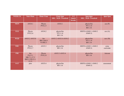| <b>WEEK 24</b> | 9am-10am                                                | $10am-11am$                        | $11am-1pm$<br><b>SDL / SGD / Practical</b> | $1-2$<br>(lunch<br>break) | $2pm-4pm$<br><b>SDL / SGD / Practical</b> | 4pm-5pm             |
|----------------|---------------------------------------------------------|------------------------------------|--------------------------------------------|---------------------------|-------------------------------------------|---------------------|
| <b>MON</b>     | AN34.1                                                  | Physio<br>PY8.2.5                  | AN34.1                                     |                           | physio/bio<br>PY11.14<br><b>BI11.16</b>   | $\csc(P)$           |
| <b>TUE</b>     | Physio<br>PY8.2.6                                       | AN34.2                             | physio/bio<br>PY11.14<br><b>BI11.16</b>    |                           | HISTO (AN69.1 AN69.2<br>AN69.3)           | $\csc(A)$           |
| <b>WED</b>     | AN35.2 AN35.8                                           | bio<br>BI4.3, bi4.4<br>$VI$ -IM2.3 | AN35.2 AN35.8 AN34.2                       |                           | physio/bio<br>PY11.14<br><b>BI11.16</b>   | $\text{ece}$ (B)    |
| <b>THU</b>     | Physio<br>PY8.2.7                                       | AN35.3                             | physio/bio<br><b>BI11.16</b>               |                           | HISTO (AN69.1 AN69.2<br>AN69.3)           | extra<br>curricular |
| <b>FRI</b>     | bio<br>PA15.1<br>DR17.1-17.3<br>IM23.3 PE12.1-<br>12.21 | Physio<br>PY8.2.8                  | AN35.3 AN35.4                              |                           | physio/bio<br><b>BI11.16</b>              | Aetcom              |
| <b>SAT</b>     | psm                                                     | AN35.4                             | physio/bio<br><b>BI11.16</b>               |                           | <b>HISTO (AN69.1 AN69.2)</b><br>AN69.3)   | assessment          |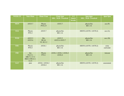| <b>WEEK 25</b> | 9am-10am                                                | $10am-11am$                                    | $11am-1pm$<br><b>SDL / SGD / Practical</b> | $1-2$<br>(lunch<br>break) | $2pm-4pm$<br><b>SDL / SGD / Practical</b> | 4pm-5pm                |
|----------------|---------------------------------------------------------|------------------------------------------------|--------------------------------------------|---------------------------|-------------------------------------------|------------------------|
| <b>MON</b>     | AN35.7                                                  | Physio<br>PY8.2.9                              | AN35.7                                     |                           | physio/bio<br><b>BI11.16</b>              | $\csc(P)$              |
| <b>TUE</b>     | Physio<br><b>PY8.3</b>                                  | AN35.7                                         | physio/bio<br><b>BI11.16</b>               |                           | <b>HISTO (AN70.1 AN70.2)</b>              | $\csc(A)$              |
| <b>WED</b>     | AN35.5<br>AN35.6                                        | <b>Bio</b><br><b>BI</b> 4.6<br><b>VI-SU1.2</b> | AN35.5<br>AN35.6 AN35.7                    |                           | physio/bio<br><b>BI11.16</b>              | $\text{ece}(\text{B})$ |
| <b>THU</b>     | Physio<br><b>PY8.5</b>                                  | AN36.1                                         | physio/bio<br><b>BI11.16</b>               |                           | <b>HISTO (AN70.1 AN70.2)</b>              | extra<br>curricular    |
| <b>FRI</b>     | bio<br>PA15.1<br>DR17.1-17.3<br>IM23.3 PE12.1-<br>12.21 | Physio<br><b>PY8.1</b>                         | AN36.1 AN36.1 AN36.2<br>AN36.4             |                           | physio/bio<br><b>BI11.16</b>              | Aetcom                 |
| <b>SAT</b>     | psm                                                     | AN36.1 AN36.2<br>AN36.4                        | physio/bio<br><b>BI11.16</b>               |                           | <b>HISTO (AN70.1 AN70.2)</b>              | assessment             |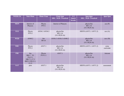| <b>WEEK 26</b> | 9am-10am                                                             | $10am-11am$          | $11am-1pm$<br><b>SDL / SGD / Practical</b>     | $1-2$<br>$\overline{$ (lunch<br>break) | $2pm-4pm$<br><b>SDL / SGD / Practical</b>      | 4pm-5pm                |
|----------------|----------------------------------------------------------------------|----------------------|------------------------------------------------|----------------------------------------|------------------------------------------------|------------------------|
| <b>MON</b>     | Interior of<br>Pharynx                                               | Physio<br>PY9.1      | Interior of Pharynx                            |                                        | physio/bio<br><b>BI11.16</b><br>$(VI-PE29.16)$ | $\csc(P)$              |
| <b>TUE</b>     | Physio<br>PY9.2                                                      | AN36.3 AN36.5        | physio/bio<br><b>BI11.16</b><br>$(VI-PE29.16)$ |                                        | HISTO (AN71.1 AN71.2)                          | $\csc(A)$              |
| <b>WED</b>     | AN40.2                                                               | bio<br><b>BI</b> 6.6 | AN36.3 AN36.5 AN40.2                           |                                        | physio/bio<br><b>BI11.16</b><br>$(VI-PE29.16)$ | $\text{ece}(\text{B})$ |
| <b>THU</b>     | Physio<br>PY9.3                                                      | AN37.1               | physio/bio<br>BI11.16<br>$(VI-PE29.16)$        |                                        | HISTO (AN71.1 AN71.2)                          | extra<br>curricular    |
| <b>FRI</b>     | bio<br>BI6.5 VI-<br>PA15.1<br>DR17.1-17.3<br>IM23.3 PE12.1-<br>12.21 | Physio<br>PY9.5.1    | AN37.1                                         |                                        | physio/bio<br><b>BI11.16</b><br>$(VI-PE29.16)$ | Aetcom                 |
| <b>SAT</b>     | psm                                                                  | AN37.1               | physio/bio<br><b>BI11.16</b><br>$(VI-PE29.16)$ |                                        | HISTO (AN71.1 AN71.2)                          | assessment             |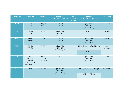| <b>WEEK 27</b> | 9am-10am                                                             | 10am-11am                    | $11am-1pm$<br><b>SDL / SGD / Practical</b>     | $1-2$<br>(lunch<br>break) | $2pm-4pm$<br><b>SDL / SGD / Practical</b>      | 4pm-5pm                |
|----------------|----------------------------------------------------------------------|------------------------------|------------------------------------------------|---------------------------|------------------------------------------------|------------------------|
| <b>MON</b>     | AN37.2<br>AN37.3                                                     | Physio<br>PY9.4.1            | AN37.2<br>AN37.3                               |                           | physio/bio<br><b>BI11.16</b><br>$(VI-PE29.16)$ | $\csc(P)$              |
| <b>TUE</b>     | Physio<br>PY9.4.2                                                    | AN38.1                       | physio/bio<br>BI11.16<br>$(VI-PE29.16)$        |                           | AN38.1                                         | $\csc(A)$              |
| <b>WED</b>     | AN38.2<br>AN38.3                                                     | bio<br><b>BI</b> 6.1         | AN38.2<br>AN38.3                               |                           | physio/bio<br><b>BI11.16</b><br>$(VI-PE29.16)$ | $\text{ece}(\text{B})$ |
| <b>THU</b>     | Physio<br>PY9.5.2                                                    | AN39.1                       | physio/bio<br>BI11.16<br>$(VI-PE29.16)$        |                           | SDL (AN43.1) Surface Marking<br>AN39.1         | extra<br>curricular    |
| <b>FRI</b>     | bio<br>BI6.5 VI-<br>PA15.1<br>DR17.1-17.3<br>IM23.3 PE12.1-<br>12.21 | Physio<br>PY9.6<br>$(VI-OG)$ | AN39.1                                         |                           | physio/bio<br>BI11.16<br>$(VI-PE29.16)$        | Aetcom                 |
| <b>SAT</b>     | psm                                                                  | AN39.1 AN39.2                | physio/bio<br><b>BI11.16</b><br>$(VI-PE29.16)$ |                           | SDL (AN43.2-9) Radiology<br>AN39.1 AN39.2      | assessment             |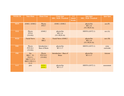| <b>WEEK 28</b> | 9am-10am                                                             | $10am-11am$                              | $11am-1pm$<br><b>SDL / SGD / Practical</b>     | $1-2$<br>(lunch<br>break) | $2pm-4pm$<br><b>SDL / SGD / Practical</b>      | 4pm-5pm                |
|----------------|----------------------------------------------------------------------|------------------------------------------|------------------------------------------------|---------------------------|------------------------------------------------|------------------------|
| <b>MON</b>     | AN40.1 AN40.2                                                        | Physio<br><b>PY9.7</b>                   | AN40.1 AN40.2                                  |                           | physio/bio<br><b>BI11.16</b><br>$(VI-PE29.16)$ | $\csc(P)$              |
| <b>TUE</b>     | Physio<br><b>PY9.8</b><br>$(VI-OG)$                                  | AN40.2                                   | physio/bio<br><b>BI11.16</b><br>$(VI-PE29.16)$ |                           | <b>HISTO (AN72.1)</b>                          | $\csc(A)$              |
| <b>WED</b>     | <b>Facial Nerve</b>                                                  | bio<br><b>BI6.2</b>                      | Facial Nerve AN40.2                            |                           | physio/bio<br><b>BI11.16</b><br>$(VI-PE29.16)$ | $\text{ece}(\text{B})$ |
| <b>THU</b>     | Physio<br>PY9.10.1<br>$(VI-OG)$                                      | Introduction $+$<br><b>Base of Brain</b> | physio/bio<br><b>BI</b> 11.17                  |                           | HISTO (AN72.1)                                 | extra<br>curricular    |
| <b>FRI</b>     | bio<br>BI6.5 VI-<br>PA15.1<br>DR17.1-17.3<br>IM23.3 PE12.1-<br>12.21 | Physio<br>PY9.10.2<br>$(VI-OG)$          | Introduction + Base of<br><b>Brain</b>         |                           | physio/bio<br><b>BI</b> 11.17                  | Aetcom                 |
| <b>SAT</b>     | psm                                                                  | <b>AN56.1</b><br>AN56.2                  | physio/bio<br><b>BI</b> 11.17                  |                           | HISTO (AN72.1)                                 | assessment             |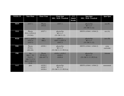| <b>WEEK 29</b> | 9am-10am                                                             | $10am-11am$                        | $11am-1pm$<br><b>SDL / SGD / Practical</b>              | $1-2$<br>(lunch<br>break) | $2pm-4pm$<br>SDL / SGD / Practical                      | $4pm-5pm$           |
|----------------|----------------------------------------------------------------------|------------------------------------|---------------------------------------------------------|---------------------------|---------------------------------------------------------|---------------------|
| <b>MON</b>     | AN57.1                                                               | Physio<br><b>PY9.9</b>             | AN57.1                                                  |                           | physio/bio<br><b>BI</b> 11.17<br>$(VI-IM 11.12)$        | $\csc(P)$           |
| TUE            | Physio<br>PY9.11, PY9.12<br>$(VI-OG)$                                | AN57.1                             | physio/bio<br><b>BI</b> 11.17<br>$(VI- IM 11.12)$       |                           | HISTO (AN64.1 AN64.2)                                   | $\csc(A)$           |
| <b>WED</b>     | AN57.2 AN57.3<br>AN57.4<br>AN57.5                                    | bio<br><b>BI6.2</b>                | AN57.2<br>AN57.3 AN57.4<br>AN57.5                       |                           | physio/bio<br><b>BI</b> 11.17<br>$(VI-IM 11.12)$        | $\overline{ece(B)}$ |
| THU            | Physio<br>PY10.1<br>$(HI-AN)$                                        | AN58.1                             | physio/bio<br><b>BI</b> 11.17<br>(VI- IM 11.13. PE33.6) |                           | HISTO (AN64.1 AN64.2)                                   | extra<br>curricular |
| <b>FRI</b>     | bio<br>BI6.5 VI-<br>PA15.1<br>DR17.1-17.3<br>IM23.3 PE12.1-<br>12.21 | Physio<br>PY10.2.1<br>$(HI-AN7.7)$ | AN58.1 AN58.2<br>AN58.3<br>AN58.4                       |                           | physio/bio<br><b>BI</b> 11.17<br>(VI- IM 11.13. PE33.6) | Aetcom              |
| <b>SAT</b>     | psm                                                                  | AN58.2<br>AN58.3<br>AN58.4         | physio/bio<br><b>BI</b> 11.17<br>(VI- IM 11.13. PE33.6) |                           | HISTO (AN64.1 AN64.2)                                   | assessment          |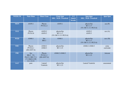| <b>WEEK 30</b> | $9a$ m-10am                                                         | $10am-11am$                         | $11am-1pm$<br><b>SDL / SGD / Practical</b>              | $1-2$<br>(lunch<br>break) | $2pm-4pm$<br><b>SDL / SGD / Practical</b>               | 4pm-5pm                |
|----------------|---------------------------------------------------------------------|-------------------------------------|---------------------------------------------------------|---------------------------|---------------------------------------------------------|------------------------|
| <b>MON</b>     | AN59.1                                                              | Physio<br>PY10.2.2                  | AN59.1                                                  |                           | physio/bio<br><b>BI</b> 11.17<br>(VI-IM 11.13. PE33.6)  | $\csc(P)$              |
| <b>TUE</b>     | Physio<br>PY10.10                                                   | AN59.2<br>AN59.3                    | physio/bio<br><b>BI</b> 11.17<br>(VI- IM 11.13. PE33.6) |                           | AN59.2<br>AN59.3                                        | $\csc(A)$              |
| <b>WED</b>     | AN60.1                                                              | bio<br><b>BI6.3</b>                 | AN60.1                                                  |                           | physio/bio<br><b>BI</b> 11.17<br>(VI- IM 11.13. PE33.6) | $\text{ece}(\text{B})$ |
| <b>THU</b>     | Physio<br>PY10.6.1<br>$(HI-AN57.4)$                                 | AN60.2<br>AN60.3                    | physio/bio<br><b>BI</b> 11.23                           |                           | AN60.2 AN60.3                                           | extra<br>curricular    |
| <b>FRI</b>     | bio<br>BI6.5 VI-<br>PA15.1 DR 17.1-<br>17.3 IM23.3 PE<br>12.1-12.21 | Physio<br>PY10.3.1<br>$(HI-AN57.4)$ | AN60.2 AN60.3                                           |                           | physio/bio<br><b>BI</b> 11.23                           | Aetcom                 |
| <b>SAT</b>     | psm                                                                 | Lateral<br>Ventricle                | physio/bio<br><b>BI</b> 11.23                           |                           | <b>Lateral Ventricle</b>                                | assessment             |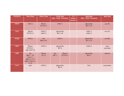| WEEK31     | 9am-10am                                                             | $10am-11am$        | $11am-1pm$<br><b>SDL / SGD / Practical</b> |                            | $1-2$<br>(lunch<br>break) | $2pm-4pm$<br><b>SDL / SGD / Practical</b> | 4pm-5pm             |
|------------|----------------------------------------------------------------------|--------------------|--------------------------------------------|----------------------------|---------------------------|-------------------------------------------|---------------------|
| <b>MON</b> | AN61.1                                                               | Physio<br>PY10.3.2 | AN61.1                                     |                            |                           | physio/bio<br><b>BI</b> 11.24             | $\csc(P)$           |
| <b>TUE</b> | Physio<br>PY10.3.3                                                   | AN61.2<br>AN61.3   | physio/bio<br><b>BI</b> 11.24              |                            |                           | AN61.2<br>AN61.3                          | $\csc(A)$           |
| <b>WED</b> | AN62.1                                                               | bio<br>BI6.3,6.4   | AN62.1                                     |                            |                           | physio/bio<br><b>BI</b> 11.24             | $\csc(B)$           |
| <b>THU</b> | Physio<br>PY10.5.1<br>$(HI-AN57.4)$                                  | AN62.2             |                                            | physio/bio<br><b>BI7.4</b> |                           | AN62.2                                    | extra<br>curricular |
| <b>FRI</b> | bio<br>BI6.5 VI-<br>PA15.1<br>DR17.1-17.3<br>IM23.3 PE12.1-<br>12.21 | Physio<br>10.5.2   | bio<br><b>BI7.1</b>                        | Physio<br>PY10.5.3         |                           | physio/bio<br><b>BI7.4</b>                | Aetcom              |
| <b>SAT</b> | psm                                                                  | AN62.2             | <b>BI7.4</b>                               | physio/bio                 |                           | Psm                                       | assessment          |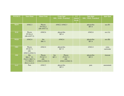| WEEK32     | 9am-10am                                                                 | $10am-11am$                                     | $11am-1pm$<br><b>SDL / SGD / Practical</b> |                                               | $1-2$<br>(lunch<br>break | $2pm-4pm$<br><b>SDL / SGD / Practical</b> | 4pm-5pm             |
|------------|--------------------------------------------------------------------------|-------------------------------------------------|--------------------------------------------|-----------------------------------------------|--------------------------|-------------------------------------------|---------------------|
| <b>MON</b> | AN62.3                                                                   | Physio<br>PY10.6.2<br>$(HI-AN57.5)$             | AN62.2 AN62.3                              |                                               |                          | physio/bio<br><b>BI7.4</b>                | $\csc(P)$           |
| <b>TUE</b> | Physio<br>PY10.6.3<br>$(HI-AN57.5)$                                      | AN62.6                                          |                                            | physio/bio<br><b>BI7.4</b>                    |                          | AN62.6                                    | $\csc(A)$           |
| <b>WED</b> | AN62.6                                                                   | bio<br><b>BI6.11</b>                            | AN62.6                                     |                                               |                          | physio/bio<br><b>BI7.4</b>                | $\csc(B)$           |
| <b>THU</b> | Physio<br>PY10.7.1<br>$(HI-$<br>AN62.2, AN62.3)                          | AN62.4                                          |                                            | physio/bio<br><b>BI</b> 7.5                   |                          | AN62.4                                    | extra<br>curricular |
| <b>FRI</b> | <b>Bio</b><br>BI6.5 VI-<br>PA15.1 DR17.1-<br>17.3 IM23.3<br>PE12.1-12.21 | Physio<br>PY10.7.2<br>$(HI-$<br>AN62.2, AN62.3) | bio<br><b>BI7.1</b>                        | Physio<br>PY10.7.3<br>(HI)<br>AN62.2, AN62.3) |                          | physio/bio<br><b>BI7.5</b>                | Aetcom              |
| <b>SAT</b> | Psm                                                                      | AN62.5                                          |                                            | physio/bio<br><b>BI7.5</b>                    |                          | psm                                       | assessment          |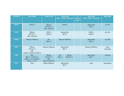| WEEK33     | $9$ am-10am                                                         | $10am-11am$                                   |                            | $11am-1pm$<br><b>SDL / SGD / Practical</b> | $1-2$<br>(lunch<br><b>break</b> | $2pm-4pm$<br><b>SDL / SGD / Practical</b> | 4pm-5pm             |
|------------|---------------------------------------------------------------------|-----------------------------------------------|----------------------------|--------------------------------------------|---------------------------------|-------------------------------------------|---------------------|
| <b>MON</b> | AN62.5                                                              | Physio<br>PY10.7.4<br>$(HI- AN62.4)$          | AN62.5                     |                                            |                                 | physio/bio<br><b>BI7.6</b>                | $\csc(P)$           |
| <b>TUE</b> | Physio<br>PY10.7.5<br>$(HI- AN62.4)$                                | AN63.1<br>AN63.2                              | physio/bio<br><b>BI7.6</b> |                                            |                                 | AN63.1<br>AN63.2                          | $\csc(A)$           |
| <b>WED</b> | <b>Sensory Pathway</b>                                              | bio<br><b>BI6.12</b>                          | <b>Sensory Pathway</b>     |                                            |                                 | physio/bio<br><b>BI7.6</b>                | $\csc(B)$           |
| <b>THU</b> | Physio<br>PY10.7.6<br>$(HI-$<br>AN58.3, AN58.4, AN59.1)             | Sensory Pathway                               |                            | physio/bio<br><b>BI7.7</b>                 |                                 | Sensory Pathway                           | extra<br>curricular |
| <b>FRI</b> | <b>Bio</b><br>BI6.5 VI-PA15.1<br>DR17.1-17.3 IM23.3<br>PE12.1-12.21 | Physio<br>PY10.7.7<br>(HI)<br>AN58.3, AN58.4) | bio<br><b>BI7.1</b>        | Physio<br>PY10.7.8                         |                                 | physio/bio<br><b>BI7.7</b>                | Aetcom              |
| <b>SAT</b> | Psm                                                                 | Motor Pathway                                 |                            | physio/bio<br><b>BI7.7</b>                 |                                 | psm                                       | assessment          |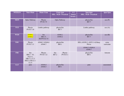| WEEK34     | 9am-10am                                                             | $10am-11am$                          | $11am-1pm$<br><b>SDL / SGD / Practical</b> |                    | $1-2$<br>(lunch<br>break) | $2pm-4pm$<br><b>SDL / SGD / Practical</b>                        | 4pm-5pm             |
|------------|----------------------------------------------------------------------|--------------------------------------|--------------------------------------------|--------------------|---------------------------|------------------------------------------------------------------|---------------------|
| <b>MON</b> | Optic Pathway                                                        | Physio<br>PY10.7.9                   | Optic Pathway                              |                    |                           | physio/bio<br><b>BI7.7</b>                                       | $\csc(P)$           |
| <b>TUE</b> | Physio<br>PY10.7.10                                                  | Limbic pathway                       | physio/bio<br><b>BI7.7</b>                 |                    |                           | Limbic pathway                                                   | $\csc(A)$           |
| <b>WED</b> | <b>AN44.1</b><br>AN44.2                                              | bio<br><b>BI6.13</b><br>HI-PY4.8,7.8 | AN44.1<br>AN44.2                           |                    |                           | physio/bio<br><b>BI7.7</b>                                       | $\csc(B)$           |
| <b>THU</b> | Physio<br>PY10.7.11                                                  | AN44.3 AN44.6<br>AN44.7              | <b>BI9.1</b>                               | physio/bio         |                           | SDL (AN50.2, AN53.1-4) Bony<br>Pelvis<br>AN44.3 AN44.6<br>AN44.7 | extra<br>curricular |
| <b>FRI</b> | bio<br>BI6.5 VI-<br>PA15.1<br>DR17.1-17.3<br>IM23.3 PE12.1-<br>12.21 | Physio<br>PY10.7.12                  | bio<br><b>BI7.2</b>                        | Physio<br>PY10.5.1 |                           | physio/bio<br><b>BI9.1</b>                                       | Aetcom              |
| <b>SAT</b> | psm                                                                  | AN44.4<br>AN44.5                     | <b>BI9.1</b>                               | physio/bio         |                           | psm                                                              | assessment          |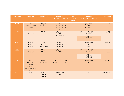| WEEK35     | 9am-10am                                                             | $10am-11am$                          | $11am-1pm$<br><b>SDL / SGD / Practical</b>         |                    | $1-2$<br>(lunch<br>break) | $2pm-4pm$<br><b>SDL / SGD / Practical</b>    | 4pm-5pm             |
|------------|----------------------------------------------------------------------|--------------------------------------|----------------------------------------------------|--------------------|---------------------------|----------------------------------------------|---------------------|
| <b>MON</b> | AN45.1<br>AN45.2 AN47.8<br>AN47.9                                    | Physio<br>PY10.4.2                   | AN45.1<br>AN45.2 AN47.8<br>AN47.9 AN44.4<br>AN44.5 |                    |                           | physio/bio<br><b>BI9.2</b><br>$(VI - SU1.1)$ | $\csc(P)$           |
| <b>TUE</b> | Physio<br>PY10.4.3                                                   | AN46.1                               | physio/bio<br><b>BI9.2</b><br>$(VI - SU1.1)$       |                    |                           | SDL (AN50.3,4) Lumbar<br>Vertebrae<br>AN46.1 | $\csc(A)$           |
| <b>WED</b> | AN46.2<br>AN46.3<br>AN46.4                                           | bio<br><b>BI6.13</b><br>HI-PY4.8,7.8 | AN46.2<br>AN46.3<br>AN46.4                         |                    |                           | physio/bio<br><b>BI9.2</b><br>$(VI - SU1.1)$ | $\csc(B)$           |
| <b>THU</b> | Physio<br>PY10.4.4                                                   | AN47.1<br>AN47.2                     | <b>BI9.3</b>                                       | physio/bio         |                           | SDL (AN50.3,4) Lumbar<br>Vertebrae           | extra<br>curricular |
|            |                                                                      |                                      |                                                    |                    |                           | AN47.1<br>AN47.2                             |                     |
| <b>FRI</b> | bio<br>BI6.5 VI-<br>PA15.1<br>DR17.1-17.3<br>IM23.3 PE12.1-<br>12.21 | Physio<br>PY10.5.2                   | bio<br><b>BI7.2</b>                                | Physio<br>PY10.5.3 |                           | physio/bio<br><b>BI9.3</b>                   | Aetcom              |
| <b>SAT</b> | psm                                                                  | AN47.8<br>AN47.10<br>AN47.11         | <b>BI9.3</b>                                       | physio/bio         |                           | psm                                          | assessment          |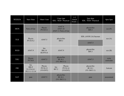| WEEK36     | 9am-10am                                                | $10$ am- $11$ am                        | 11am-1pm<br>SDL / SGD / Practical |                                           | $1-2$<br>(lunch<br>break) | $2pm-4pm$<br>SDL / SGD / Practical            | 4pm-5pm             |
|------------|---------------------------------------------------------|-----------------------------------------|-----------------------------------|-------------------------------------------|---------------------------|-----------------------------------------------|---------------------|
| <b>MON</b> | Parts of Gut                                            | Physio<br>PY10.9.1                      |                                   | AN47.8<br>AN47.10<br>AN47.11 Parts of Gut |                           | physio/bio<br><b>BI9.3</b>                    | $\csc(P)$           |
| <b>TUE</b> | Physio                                                  | AN47.5                                  | physio/bio<br><b>BI9.3</b>        |                                           |                           | SDL (AN50.3,4) Sacrum                         | $\csc(A)$           |
|            | PY10.9.2                                                |                                         |                                   |                                           |                           | AN47.5                                        |                     |
| <b>WED</b> | AN47.9                                                  | bio<br><b>BI6.14</b><br><b>HI-PY8.4</b> | AN47.9                            |                                           |                           | physio/bio<br><b>BI9.3</b>                    | $\csc(B)$           |
| <b>THU</b> | Physio<br><b>PY10.8</b>                                 | AN47.5                                  | <b>BI</b> 10.1                    | physio/bio<br>$(VI-IM13.1)$               |                           | AN47.5                                        | extra<br>curricular |
| <b>FRI</b> | bio<br><b>BI6.9</b><br><b>VI-PA14.1</b><br>PE13.1-13.14 | Physio<br>PY10.13<br>$(VI-ENT)$         | bio<br><b>BI7.2</b>               | Physio<br>PY10.14<br>$(VI-ENT)$           |                           | physio/bio<br><b>BI</b> 10.1<br>$(VI-IM13.1)$ | Aetcom              |
| <b>SAT</b> | psm                                                     | AN47.5                                  | <b>BI</b> 10.1                    | physio/bio<br>$(VI-IM13.1)$               |                           | psm                                           | assessment          |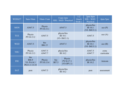| WEEK37     | 9am-10am                                                | $10$ am- $11$ am     | $11am-1pm$<br>SDL / SGD / Practical                        |  | $1-2$<br>(lunch)<br>break) | 2pm-4pm<br>SDL / SGD /<br>Practical           | 4pm-5pm             |
|------------|---------------------------------------------------------|----------------------|------------------------------------------------------------|--|----------------------------|-----------------------------------------------|---------------------|
| <b>MON</b> | AN47.5                                                  | Physio<br>PY10.15.1  | AN47.5                                                     |  |                            | physio/bio<br><b>BI</b> 10.1<br>$(VI-IM13.1)$ | $\csc(P)$           |
| TUE        | Physio<br>PY10.15.2                                     | AN47.5               | physio/bio<br><b>BI</b> 10.1<br>$(VI-IM13.1)$              |  |                            | AN47.5                                        | $\csc(A)$           |
| <b>WED</b> | AN47.5                                                  | bio<br><b>BI6.15</b> | AN47.5                                                     |  |                            | physio/bio<br><b>BI</b> 10.1<br>$(VI-IM13.1)$ | ece(B)              |
| <b>THU</b> | Physio<br>PY10.15.3                                     | AN47.5<br>AN47.7     | physio/bio<br><b>BI</b> 10.2                               |  |                            | AN47.5<br>AN47.7                              | extra<br>curricular |
| <b>FRI</b> | bio<br><b>BI6.9</b><br><b>VI-PA14.1</b><br>PE13.1-13.14 | Physio<br>PY10.15.4  | Physio<br>bio<br>PY10.17.1<br><b>BI7.3</b><br>$(VI-OP1.1)$ |  |                            | physio/bio<br><b>BI</b> 10.2                  | Aetcom              |
| <b>SAT</b> | psm                                                     | AN47.5               | physio/bio<br><b>BI</b> 10.2                               |  |                            | psm                                           | assessment          |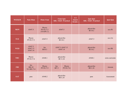| WEEK38     | 9am-10am                                 | $10am-11am$                         | $11am-1pm$<br><b>SDL / SGD / Practical</b> |                     | $1-2$<br>$2pm-4pm$<br>(lunch<br><b>SDL / SGD / Practical</b><br>break) |                              | 4pm-5pm          |        |           |                              |           |
|------------|------------------------------------------|-------------------------------------|--------------------------------------------|---------------------|------------------------------------------------------------------------|------------------------------|------------------|--------|-----------|------------------------------|-----------|
| <b>MON</b> | AN47.5                                   | Physio<br>PY10.17.2<br>$(VI-OP1.1)$ | AN47.5                                     |                     |                                                                        |                              |                  |        |           | physio/bio<br><b>BI</b> 10.2 | $\csc(P)$ |
| <b>TUE</b> | Physio<br>PY10.17.3                      | AN47.5                              | physio/bio<br><b>BI</b> 10.2               |                     |                                                                        |                              |                  | AN47.5 | $\csc(A)$ |                              |           |
| <b>WED</b> | AN47.5<br>AN47.13<br>AN47.14             | bio<br><b>BI10.3</b>                | AN47.5 AN47.13<br>AN47.14                  |                     |                                                                        | physio/bio<br><b>BI</b> 10.2 | $\csc(B)$        |        |           |                              |           |
| <b>THU</b> | Physio<br>PY10.17.4                      | AN48.1                              | physio/bio<br><b>BI</b> 11.24              |                     |                                                                        | AN48.1                       | extra curricular |        |           |                              |           |
| <b>FRI</b> | bio<br><b>BI6.10</b><br><b>VI-DR17.4</b> | Physio<br>PY10.17.5                 | bio<br><b>BI7.3</b>                        | Physio<br>PY10.17.6 |                                                                        | physio/bio<br><b>BI11.24</b> | Aetcom           |        |           |                              |           |
| <b>SAT</b> | psm                                      | AN48.2                              | physio/bio<br><b>BI11.24</b>               |                     |                                                                        | psm                          | Assessment       |        |           |                              |           |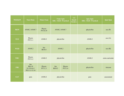| WEEK39                    | 9am-10am                                                 | $10am-11am$          | $11am-1pm$<br><b>SDL/SGD/Practical</b> |                  | $1-2$<br>$\frac{2pm-4pm}{2pm}$<br>(lunch<br><b>SDL / SGD / Practical</b><br>break) |            | 4pm-5pm          |
|---------------------------|----------------------------------------------------------|----------------------|----------------------------------------|------------------|------------------------------------------------------------------------------------|------------|------------------|
| $\overline{\textbf{MON}}$ | AN48.2 AN48.7                                            | Physio<br>PY10.19    | AN48.2 AN48.7                          |                  |                                                                                    | physio/bio | $\csc(P)$        |
| <b>TUE</b>                | Physio<br>PY11.1                                         | AN48.2               | physio/bio                             |                  |                                                                                    | AN48.2     | ece(A)           |
| <b>WED</b>                | AN48.2                                                   | bio<br><b>BI10.4</b> | AN48.2                                 |                  |                                                                                    | physio/bio | $\csc(B)$        |
| <b>THU</b>                | Physio<br>PY11.2                                         | AN48.2               | physio/bio                             |                  |                                                                                    | AN48.2     | extra curricular |
| <b>FRI</b>                | bio<br><b>BI6.10</b><br><b>VI-PA14.1</b><br>PE13.1-13.14 | Physio<br>PY11.3     | bio<br><b>BI10.5</b>                   | Physio<br>PY11.4 |                                                                                    | physio/bio | Aetcom           |
| <b>SAT</b>                | psm                                                      | AN48.2               | physio/bio                             |                  |                                                                                    | psm        | assessment       |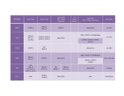| WEEK40     | 9am-10am                                                 | $10$ am- $11$ am     | $11am-1pm$<br><b>SDL/SGD</b><br>/ Practical |                   | $1-2$<br>(lunch)<br>break) | 2pm-4pm<br>SDL / SGD / Practical | 4pm-5pm          |  |
|------------|----------------------------------------------------------|----------------------|---------------------------------------------|-------------------|----------------------------|----------------------------------|------------------|--|
| <b>MON</b> | AN48.2                                                   | Physio<br>PY11.5     | AN48.2                                      |                   |                            | physio/bio                       | $\csc(P)$        |  |
|            | Physio                                                   | AN49.4 AN49.2        | physio/bio                                  |                   |                            | SDL (AN55.1-2) Radiology         | $\csc(A)$        |  |
| <b>TUE</b> | PY11.6<br>$(VI-PE)$                                      | AN49.3 AN49.5        |                                             |                   |                            | AN49.4 AN49.2 AN49.3<br>AN49.5   |                  |  |
| <b>WED</b> | AN49.1                                                   | bio<br><b>BI10.5</b> |                                             |                   |                            | physio/bio                       | $\csc(B)$        |  |
|            | Physio<br>PY11.7                                         | AN49.1               | physio/bio                                  |                   |                            | SDL (AN54.1-3) Radiology         | extra curricular |  |
| <b>THU</b> |                                                          |                      |                                             |                   |                            | AN49.1 AN48.3<br>AN48.4          |                  |  |
| <b>FRI</b> | bio<br><b>BI6.10</b><br><b>VI-PA14.1</b><br>PE13.1-13.14 | Physio<br>PY11.11    | bio<br><b>BI10.5</b>                        | Physio<br>PY11.12 |                            | physio/bio                       | Aetcom           |  |
| <b>SAT</b> | psm                                                      | AN48.3<br>AN48.4     | physio/bio                                  |                   |                            | psm                              | assessment       |  |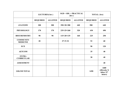|                                     | <b>LECTURES(hrs)</b> |                | $SGD + SDL + PRACTICAL$<br>(hrs) |                | <b>TOTAL</b> (hrs) |                                          |
|-------------------------------------|----------------------|----------------|----------------------------------|----------------|--------------------|------------------------------------------|
|                                     | <b>REQUIRED</b>      | <b>ALLOTED</b> | <b>REQUIRED</b>                  | <b>ALLOTED</b> | <b>REQUIRED</b>    | <b>ALLOTED</b>                           |
| <b>ANATOMY</b>                      | 200                  | 200            | $350+30=380$                     | 440            | 580                | 640                                      |
| <b>PHYSIOLOGY</b>                   | 170                  | 170            | $235+25=260$                     | 320            | 430                | 490                                      |
| <b>BIOCHEMISTRY</b>                 | 90                   | 90             | $115+20=135$                     | 160            | 225                | 250                                      |
| <b>COMMUNITY</b><br><b>MEDICINE</b> | 20                   |                | $27 + 5 = 32$                    |                | 52                 | 60                                       |
| <b>ECE</b>                          |                      |                |                                  |                | 90                 | 120                                      |
| <b>AETCOM</b>                       |                      |                |                                  |                | 35                 | 40                                       |
| <b>EXTRA</b><br><b>CURRICULAR</b>   |                      |                |                                  |                | 38                 | 40                                       |
| <b>ASSESSMENT</b>                   |                      |                |                                  |                |                    | 40                                       |
| <b>GRAND TOTAL</b>                  |                      |                |                                  |                | 1450               | 1680<br>(40weeks X<br>6days X7<br>hours) |